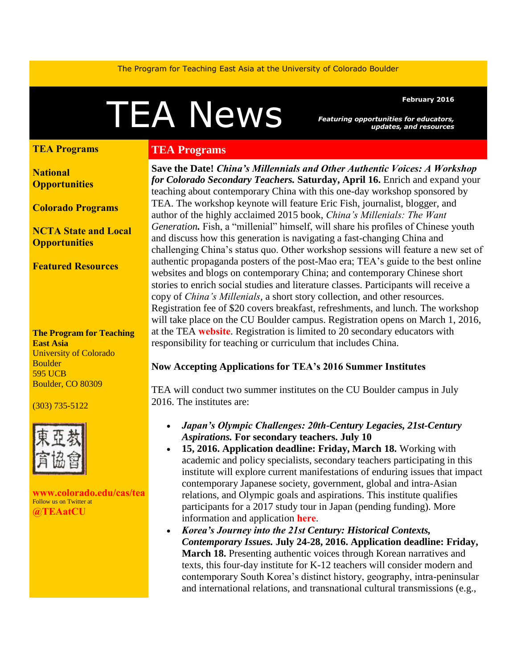The Program for Teaching East Asia at the University of Colorado Boulder

# February 2016<br>February 2016<br>and resources and resources

*Featuring opportunities for educators, updates, and resources* 

#### **[TEA Programs](#page-0-0)**

**[National](#page-1-0) [Opportunities](#page-1-0)**

**[Colorado Programs](#page-4-0)**

**[NCTA State and Local](#page-5-0)  [Opportunities](#page-5-0)** 

**[Featured Resources](#page-5-1)** 

#### **The Program for Teaching East Asia** University of Colorado **Boulder** 595 UCB Boulder, CO 80309

#### (303) 735-5122



**[www.colorado.edu/cas/tea](http://www.colorado.edu/cas/tea)** Follow us on Twitter at **[@TEAatCU](https://twitter.com/TEAatCU)**

## <span id="page-0-0"></span>**TEA Programs**

**Save the Date!** *China's Millennials and Other Authentic Voices: A Workshop for Colorado Secondary Teachers.* **Saturday, April 16.** Enrich and expand your teaching about contemporary China with this one-day workshop sponsored by TEA. The workshop keynote will feature Eric Fish, journalist, blogger, and author of the highly acclaimed 2015 book, *China's Millenials: The Want Generation.* Fish, a "millenial" himself, will share his profiles of Chinese youth and discuss how this generation is navigating a fast-changing China and challenging China's status quo. Other workshop sessions will feature a new set of authentic propaganda posters of the post-Mao era; TEA's guide to the best online websites and blogs on contemporary China; and contemporary Chinese short stories to enrich social studies and literature classes. Participants will receive a copy of *China's Millenials*, a short story collection, and other resources. Registration fee of \$20 covers breakfast, refreshments, and lunch. The workshop will take place on the CU Boulder campus. Registration opens on March 1, 2016, at the TEA **[website](http://www.colorado.edu/cas/tea)**. Registration is limited to 20 secondary educators with responsibility for teaching or curriculum that includes China.

# **Now Accepting Applications for TEA's 2016 Summer Institutes**

TEA will conduct two summer institutes on the CU Boulder campus in July 2016. The institutes are:

- *Japan's Olympic Challenges: 20th-Century Legacies, 21st-Century Aspirations.* **For secondary teachers. July 10**
- **15, 2016. Application deadline: Friday, March 18.** Working with academic and policy specialists, secondary teachers participating in this institute will explore current manifestations of enduring issues that impact contemporary Japanese society, government, global and intra-Asian relations, and Olympic goals and aspirations. This institute qualifies participants for a 2017 study tour in Japan (pending funding). More information and application **[here](http://www.colorado.edu/cas/tea/ncta/downloads/Japan_SI2016_application.pdf)**.
- *Korea's Journey into the 21st Century: Historical Contexts, Contemporary Issues.* **July 24-28, 2016. Application deadline: Friday, March 18.** Presenting authentic voices through Korean narratives and texts, this four-day institute for K-12 teachers will consider modern and contemporary South Korea's distinct history, geography, intra-peninsular and international relations, and transnational cultural transmissions (e.g.,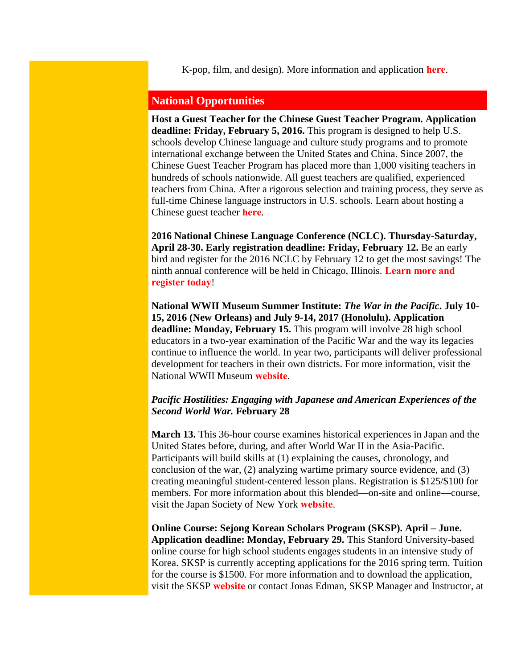<span id="page-1-0"></span>K-pop, film, and design). More information and application **[here](http://www.colorado.edu/cas/tea/ncta/downloads/KSI2016App.pdf)**.

## **National Opportunities**

**Host a Guest Teacher for the Chinese Guest Teacher Program. Application deadline: Friday, February 5, 2016.** This program is designed to help U.S. schools develop Chinese language and culture study programs and to promote international exchange between the United States and China. Since 2007, the Chinese Guest Teacher Program has placed more than 1,000 visiting teachers in hundreds of schools nationwide. All guest teachers are qualified, experienced teachers from China. After a rigorous selection and training process, they serve as full-time Chinese language instructors in U.S. schools. Learn about hosting a Chinese guest teacher **[here](http://professionals.collegeboard.com/k-12/awards/chinese/guest?ep_ch=PR&ep_mid=11200416&ep_rid=249313358&utm_source=Chinese+Language+Initiatives&utm_campaign=606251595e-Chinese_Language_Matters_January_20161_21_2016&utm_medium=email&utm_term=0_471f06bc9d-606251595e-386296462)**.

**2016 National Chinese Language Conference (NCLC). Thursday-Saturday, April 28-30. Early registration deadline: Friday, February 12.** Be an early bird and register for the 2016 NCLC by February 12 to get the most savings! The ninth annual conference will be held in Chicago, Illinois. **[Learn more and](http://asiasociety.org/national-chinese-language-conference?utm_source=Chinese%20Language%20Initiatives&utm_campaign=606251595e-Chinese_Language_Matters_January_20161_21_2016&utm_medium=email&utm_term=0_471f06bc9d-606251595e-386296462)  [register today](http://asiasociety.org/national-chinese-language-conference?utm_source=Chinese%20Language%20Initiatives&utm_campaign=606251595e-Chinese_Language_Matters_January_20161_21_2016&utm_medium=email&utm_term=0_471f06bc9d-606251595e-386296462)**!

**National WWII Museum Summer Institute:** *The War in the Pacific***. July 10- 15, 2016 (New Orleans) and July 9-14, 2017 (Honolulu). Application deadline: Monday, February 15.** This program will involve 28 high school educators in a two-year examination of the Pacific War and the way its legacies continue to influence the world. In year two, participants will deliver professional development for teachers in their own districts. For more information, visit the National WWII Museum **[website](http://www.nationalww2museum.org/learn/education/for-teachers/summer-teacher-institute.html)**.

#### *Pacific Hostilities: Engaging with Japanese and American Experiences of the Second World War.* **February 28**

**March 13.** This 36-hour course examines historical experiences in Japan and the United States before, during, and after World War II in the Asia-Pacific. Participants will build skills at (1) explaining the causes, chronology, and conclusion of the war, (2) analyzing wartime primary source evidence, and (3) creating meaningful student-centered lesson plans. Registration is \$125/\$100 for members. For more information about this blended—on-site and online—course, visit the Japan Society of New York **[website](http://www.japansociety.org/page/programs/education/workshop-for-educators)**.

**Online Course: Sejong Korean Scholars Program (SKSP). April – June. Application deadline: Monday, February 29.** This Stanford University-based online course for high school students engages students in an intensive study of Korea. SKSP is currently accepting applications for the 2016 spring term. Tuition for the course is \$1500. For more information and to download the application, visit the SKSP **[website](http://spice.fsi.stanford.edu/fellowships/sejong_korean_scholars_program)** or contact Jonas Edman, SKSP Manager and Instructor, at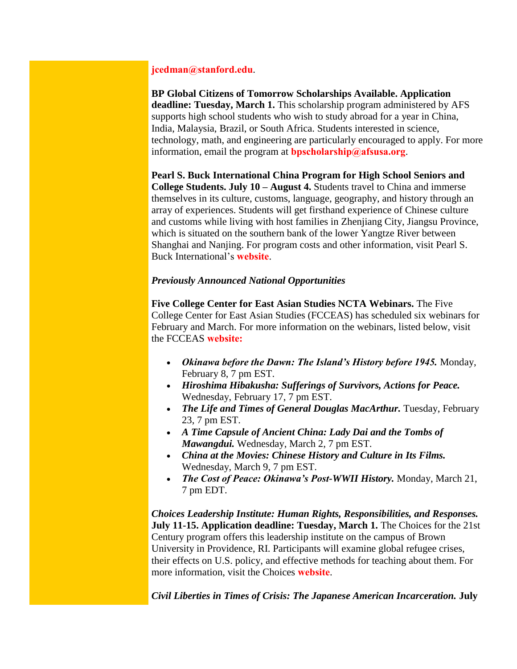## **[jcedman@stanford.edu](mailto:jcedman@stanford.edu)**.

**BP Global Citizens of Tomorrow Scholarships Available. Application deadline: Tuesday, March 1.** This scholarship program administered by AFS supports high school students who wish to study abroad for a year in China, India, Malaysia, Brazil, or South Africa. Students interested in science, technology, math, and engineering are particularly encouraged to apply. For more information, email the program at **[bpscholarship@afsusa.org](mailto:bpscholarship@afsusa.org)**.

**Pearl S. Buck International China Program for High School Seniors and College Students. July 10 – August 4.** Students travel to China and immerse themselves in its culture, customs, language, geography, and history through an array of experiences. Students will get firsthand experience of Chinese culture and customs while living with host families in Zhenjiang City, Jiangsu Province, which is situated on the southern bank of the lower Yangtze River between Shanghai and Nanjing. For program costs and other information, visit Pearl S. Buck International's **[website](https://pearlsbuck.org/culturetrip?utm_source=Chinese+Language+Initiatives&utm_campaign=606251595e-Chinese_Language_Matters_January_20161_21_2016&utm_medium=email&utm_term=0_471f06bc9d-606251595e-386296462)**.

#### *Previously Announced National Opportunities*

**Five College Center for East Asian Studies NCTA Webinars.** The Five College Center for East Asian Studies (FCCEAS) has scheduled six webinars for February and March. For more information on the webinars, listed below, visit the FCCEAS **[website:](https://www.fivecolleges.edu/fcceas/webinar)**

- *Okinawa before the Dawn: The Island's History before 1945.* Monday, February 8, 7 pm EST.
- *Hiroshima Hibakusha: Sufferings of Survivors, Actions for Peace.*  Wednesday, February 17, 7 pm EST.
- *The Life and Times of General Douglas MacArthur.* Tuesday, February 23, 7 pm EST.
- *A Time Capsule of Ancient China: Lady Dai and the Tombs of Mawangdui.* Wednesday, March 2, 7 pm EST.
- *China at the Movies: Chinese History and Culture in Its Films.* Wednesday, March 9, 7 pm EST.
- *The Cost of Peace: Okinawa's Post-WWII History.* Monday, March 21, 7 pm EDT.

*Choices Leadership Institute: Human Rights, Responsibilities, and Responses.*  **July 11-15. Application deadline: Tuesday, March 1.** The Choices for the 21st Century program offers this leadership institute on the campus of Brown University in Providence, RI. Participants will examine global refugee crises, their effects on U.S. policy, and effective methods for teaching about them. For more information, visit the Choices **[website](http://www.choices.edu/pd/institutes/institute-2016.php)**.

*Civil Liberties in Times of Crisis: The Japanese American Incarceration.* **July**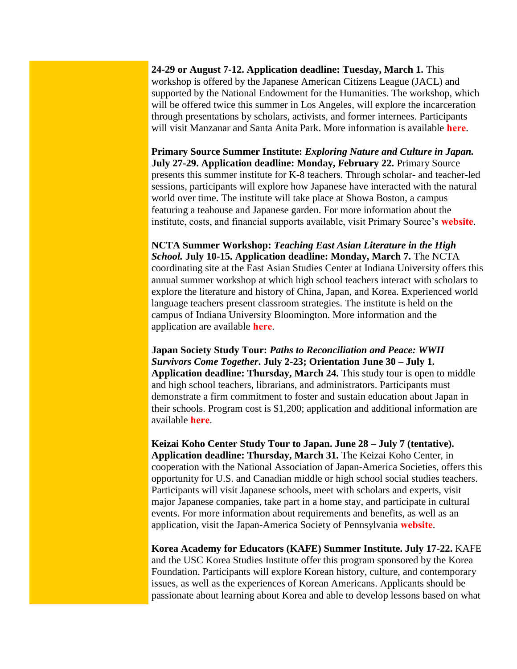**24-29 or August 7-12. Application deadline: Tuesday, March 1.** This workshop is offered by the Japanese American Citizens League (JACL) and supported by the National Endowment for the Humanities. The workshop, which will be offered twice this summer in Los Angeles, will explore the incarceration through presentations by scholars, activists, and former internees. Participants will visit Manzanar and Santa Anita Park. More information is available **[here](https://neh2016.jacl.org/)**.

**Primary Source Summer Institute:** *Exploring Nature and Culture in Japan.* **July 27-29. Application deadline: Monday, February 22.** Primary Source presents this summer institute for K-8 teachers. Through scholar- and teacher-led sessions, participants will explore how Japanese have interacted with the natural world over time. The institute will take place at Showa Boston, a campus featuring a teahouse and Japanese garden. For more information about the institute, costs, and financial supports available, visit Primary Source's **[website](http://www.primarysource.org/for-teachers/courses/exploring-nature-and-culture-in-japan)**.

**NCTA Summer Workshop:** *Teaching East Asian Literature in the High School.* **July 10-15. Application deadline: Monday, March 7.** The NCTA coordinating site at the East Asian Studies Center at Indiana University offers this annual summer workshop at which high school teachers interact with scholars to explore the literature and history of China, Japan, and Korea. Experienced world language teachers present classroom strategies. The institute is held on the campus of Indiana University Bloomington. More information and the application are available **[here](http://www.iu.edu/~easc/outreach/educators/literature/index.shtml)**.

**Japan Society Study Tour:** *Paths to Reconciliation and Peace: WWII Survivors Come Together***. July 2-23; Orientation June 30 – July 1. Application deadline: Thursday, March 24.** This study tour is open to middle and high school teachers, librarians, and administrators. Participants must demonstrate a firm commitment to foster and sustain education about Japan in their schools. Program cost is \$1,200; application and additional information are available **[here](https://www.japansociety.org/page/programs/education/educators_study_tour)**.

**Keizai Koho Center Study Tour to Japan. June 28 – July 7 (tentative). Application deadline: Thursday, March 31.** The Keizai Koho Center, in cooperation with the National Association of Japan-America Societies, offers this opportunity for U.S. and Canadian middle or high school social studies teachers. Participants will visit Japanese schools, meet with scholars and experts, visit major Japanese companies, take part in a home stay, and participate in cultural events. For more information about requirements and benefits, as well as an application, visit the Japan-America Society of Pennsylvania **[website](http://www.kkc.or.jp/english/fellowship/fellowships/index.html)**.

**Korea Academy for Educators (KAFE) Summer Institute. July 17-22.** KAFE and the USC Korea Studies Institute offer this program sponsored by the Korea Foundation. Participants will explore Korean history, culture, and contemporary issues, as well as the experiences of Korean Americans. Applicants should be passionate about learning about Korea and able to develop lessons based on what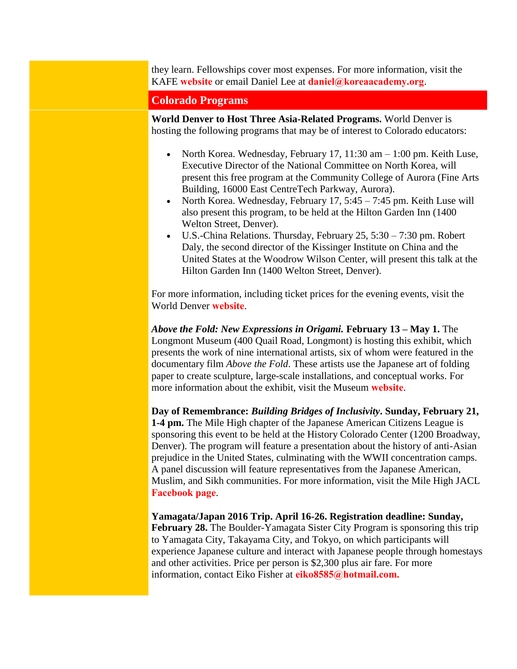they learn. Fellowships cover most expenses. For more information, visit the KAFE **[website](http://www.koreaacademy.org/)** or email Daniel Lee at **[daniel@koreaacademy.org](mailto:daniel@koreaacademy.org)**.

<span id="page-4-0"></span>**Colorado Programs** 

**World Denver to Host Three Asia-Related Programs.** World Denver is hosting the following programs that may be of interest to Colorado educators:

- North Korea. Wednesday, February 17,  $11:30$  am  $-1:00$  pm. Keith Luse, Executive Director of the National Committee on North Korea, will present this free program at the Community College of Aurora (Fine Arts Building, 16000 East CentreTech Parkway, Aurora).
- North Korea. Wednesday, February 17,  $5:45 7:45$  pm. Keith Luse will also present this program, to be held at the Hilton Garden Inn (1400 Welton Street, Denver).
- $\bullet$  U.S.-China Relations. Thursday, February 25, 5:30 7:30 pm. Robert Daly, the second director of the Kissinger Institute on China and the United States at the Woodrow Wilson Center, will present this talk at the Hilton Garden Inn (1400 Welton Street, Denver).

For more information, including ticket prices for the evening events, visit the World Denver **[website](http://worlddenver.org/page-1691220)**.

*Above the Fold: New Expressions in Origami.* **February 13 – May 1.** The Longmont Museum (400 Quail Road, Longmont) is hosting this exhibit, which presents the work of nine international artists, six of whom were featured in the documentary film *Above the Fold*. These artists use the Japanese art of folding paper to create sculpture, large-scale installations, and conceptual works. For more information about the exhibit, visit the Museum **[website](http://www.longmontcolorado.gov/departments/departments-e-m/museum/exhibitions/above-the-fold)**.

**Day of Remembrance:** *Building Bridges of Inclusivity***. Sunday, February 21, 1-4 pm.** The Mile High chapter of the Japanese American Citizens League is sponsoring this event to be held at the History Colorado Center (1200 Broadway, Denver). The program will feature a presentation about the history of anti-Asian prejudice in the United States, culminating with the WWII concentration camps. A panel discussion will feature representatives from the Japanese American, Muslim, and Sikh communities. For more information, visit the Mile High JACL **[Facebook page](https://www.facebook.com/events/1259609064052969/)**.

**Yamagata/Japan 2016 Trip. April 16-26. Registration deadline: Sunday, February 28.** The Boulder-Yamagata Sister City Program is sponsoring this trip to Yamagata City, Takayama City, and Tokyo, on which participants will experience Japanese culture and interact with Japanese people through homestays and other activities. Price per person is \$2,300 plus air fare. For more information, contact Eiko Fisher at **[eiko8585@hotmail.com.](mailto:eiko8585@hotmail.com.)**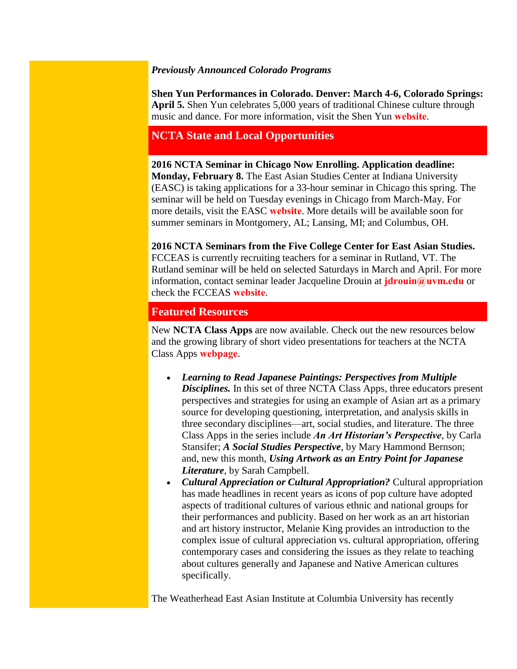## *Previously Announced Colorado Programs*

**Shen Yun Performances in Colorado. Denver: March 4-6, Colorado Springs: April 5.** Shen Yun celebrates 5,000 years of traditional Chinese culture through music and dance. For more information, visit the Shen Yun **[website](http://shenyun.com/denver)**.

# <span id="page-5-0"></span>**NCTA State and Local Opportunities**

**2016 NCTA Seminar in Chicago Now Enrolling. Application deadline: Monday, February 8.** The East Asian Studies Center at Indiana University (EASC) is taking applications for a 33-hour seminar in Chicago this spring. The seminar will be held on Tuesday evenings in Chicago from March-May. For more details, visit the EASC **[website](http://www.iu.edu/~easc/outreach/educators/seminar/index.shtml)**. More details will be available soon for summer seminars in Montgomery, AL; Lansing, MI; and Columbus, OH.

**2016 NCTA Seminars from the Five College Center for East Asian Studies.**  FCCEAS is currently recruiting teachers for a seminar in Rutland, VT. The Rutland seminar will be held on selected Saturdays in March and April. For more

information, contact seminar leader Jacqueline Drouin at **[jdrouin@uvm.edu](mailto:jdrouin@uvm.edu)** or check the FCCEAS **[website](https://www.fivecolleges.edu/fcceas/ncta/vermont)**.

# <span id="page-5-1"></span>**Featured Resources**

New **NCTA Class Apps** are now available. Check out the new resources below and the growing library of short video presentations for teachers at the NCTA Class Apps **[webpage](http://nctasia.org/resources/class-apps/)**.

- *Learning to Read Japanese Paintings: Perspectives from Multiple*  **Disciplines.** In this set of three NCTA Class Apps, three educators present perspectives and strategies for using an example of Asian art as a primary source for developing questioning, interpretation, and analysis skills in three secondary disciplines—art, social studies, and literature. The three Class Apps in the series include *An Art Historian's Perspective*, by Carla Stansifer; *A Social Studies Perspective*, by Mary Hammond Bernson; and, new this month, *Using Artwork as an Entry Point for Japanese Literature*, by Sarah Campbell.
- *Cultural Appreciation or Cultural Appropriation?* Cultural appropriation has made headlines in recent years as icons of pop culture have adopted aspects of traditional cultures of various ethnic and national groups for their performances and publicity. Based on her work as an art historian and art history instructor, Melanie King provides an introduction to the complex issue of cultural appreciation vs. cultural appropriation, offering contemporary cases and considering the issues as they relate to teaching about cultures generally and Japanese and Native American cultures specifically.

The Weatherhead East Asian Institute at Columbia University has recently